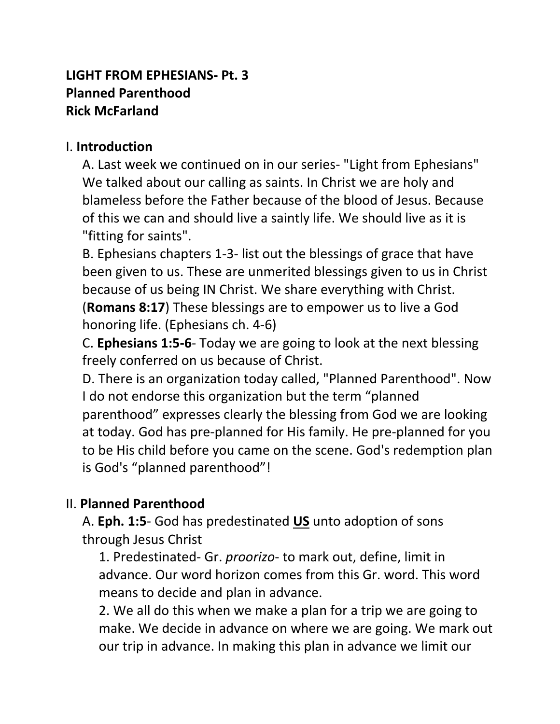#### **LIGHT FROM EPHESIANS- Pt. 3 Planned Parenthood Rick McFarland**

#### I. **Introduction**

A. Last week we continued on in our series- "Light from Ephesians" We talked about our calling as saints. In Christ we are holy and blameless before the Father because of the blood of Jesus. Because of this we can and should live a saintly life. We should live as it is "fitting for saints".

B. Ephesians chapters 1-3- list out the blessings of grace that have been given to us. These are unmerited blessings given to us in Christ because of us being IN Christ. We share everything with Christ.

(**Romans 8:17**) These blessings are to empower us to live a God honoring life. (Ephesians ch. 4-6)

C. **Ephesians 1:5-6**- Today we are going to look at the next blessing freely conferred on us because of Christ.

D. There is an organization today called, "Planned Parenthood". Now I do not endorse this organization but the term "planned parenthood" expresses clearly the blessing from God we are looking at today. God has pre-planned for His family. He pre-planned for you to be His child before you came on the scene. God's redemption plan is God's "planned parenthood"!

### II. **Planned Parenthood**

A. **Eph. 1:5**- God has predestinated **US** unto adoption of sons through Jesus Christ

1. Predestinated- Gr. *proorizo*- to mark out, define, limit in advance. Our word horizon comes from this Gr. word. This word means to decide and plan in advance.

2. We all do this when we make a plan for a trip we are going to make. We decide in advance on where we are going. We mark out our trip in advance. In making this plan in advance we limit our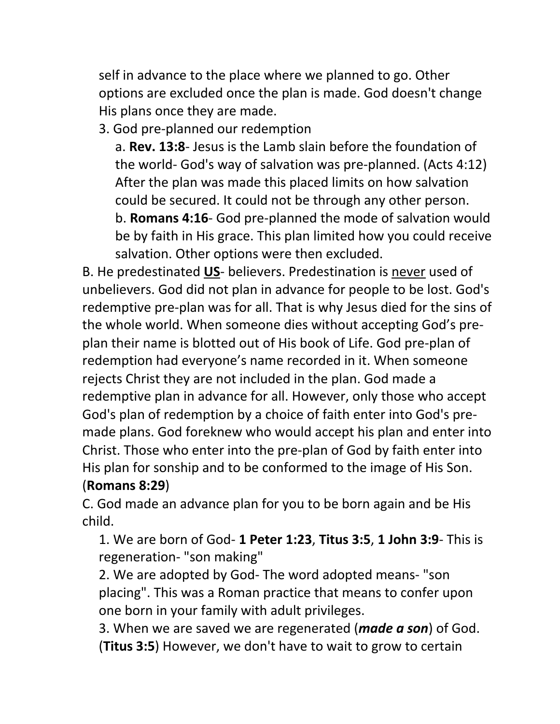self in advance to the place where we planned to go. Other options are excluded once the plan is made. God doesn't change His plans once they are made.

3. God pre-planned our redemption

a. **Rev. 13:8**- Jesus is the Lamb slain before the foundation of the world- God's way of salvation was pre-planned. (Acts 4:12) After the plan was made this placed limits on how salvation could be secured. It could not be through any other person. b. **Romans 4:16**- God pre-planned the mode of salvation would be by faith in His grace. This plan limited how you could receive salvation. Other options were then excluded.

B. He predestinated **US**- believers. Predestination is never used of unbelievers. God did not plan in advance for people to be lost. God's redemptive pre-plan was for all. That is why Jesus died for the sins of the whole world. When someone dies without accepting God's preplan their name is blotted out of His book of Life. God pre-plan of redemption had everyone's name recorded in it. When someone rejects Christ they are not included in the plan. God made a redemptive plan in advance for all. However, only those who accept God's plan of redemption by a choice of faith enter into God's premade plans. God foreknew who would accept his plan and enter into Christ. Those who enter into the pre-plan of God by faith enter into His plan for sonship and to be conformed to the image of His Son. (**Romans 8:29**)

C. God made an advance plan for you to be born again and be His child.

1. We are born of God- **1 Peter 1:23**, **Titus 3:5**, **1 John 3:9**- This is regeneration- "son making"

2. We are adopted by God- The word adopted means- "son placing". This was a Roman practice that means to confer upon one born in your family with adult privileges.

3. When we are saved we are regenerated (*made a son*) of God. (**Titus 3:5**) However, we don't have to wait to grow to certain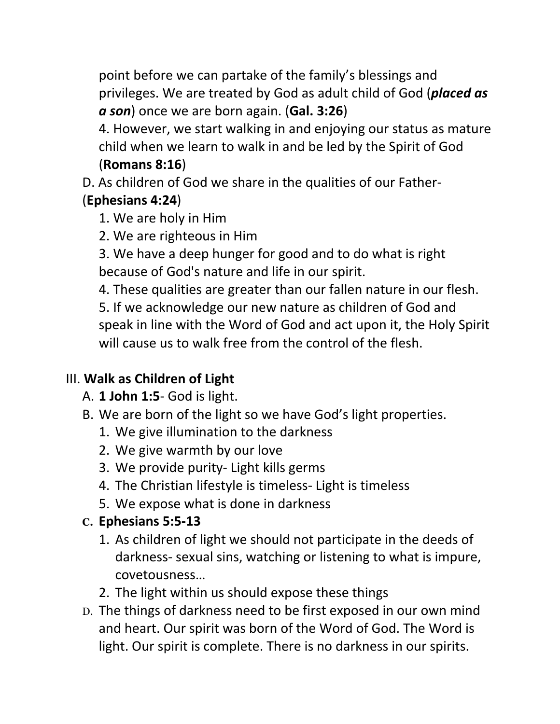point before we can partake of the family's blessings and privileges. We are treated by God as adult child of God (*placed as a son*) once we are born again. (**Gal. 3:26**)

4. However, we start walking in and enjoying our status as mature child when we learn to walk in and be led by the Spirit of God

### (**Romans 8:16**)

D. As children of God we share in the qualities of our Father-

## (**Ephesians 4:24**)

1. We are holy in Him

2. We are righteous in Him

3. We have a deep hunger for good and to do what is right because of God's nature and life in our spirit.

4. These qualities are greater than our fallen nature in our flesh. 5. If we acknowledge our new nature as children of God and speak in line with the Word of God and act upon it, the Holy Spirit will cause us to walk free from the control of the flesh.

# III. **Walk as Children of Light**

- A. **1 John 1:5** God is light.
- B. We are born of the light so we have God's light properties.
	- 1. We give illumination to the darkness
	- 2. We give warmth by our love
	- 3. We provide purity- Light kills germs
	- 4. The Christian lifestyle is timeless- Light is timeless
	- 5. We expose what is done in darkness

# **C. Ephesians 5:5-13**

- 1. As children of light we should not participate in the deeds of darkness- sexual sins, watching or listening to what is impure, covetousness…
- 2. The light within us should expose these things
- D. The things of darkness need to be first exposed in our own mind and heart. Our spirit was born of the Word of God. The Word is light. Our spirit is complete. There is no darkness in our spirits.